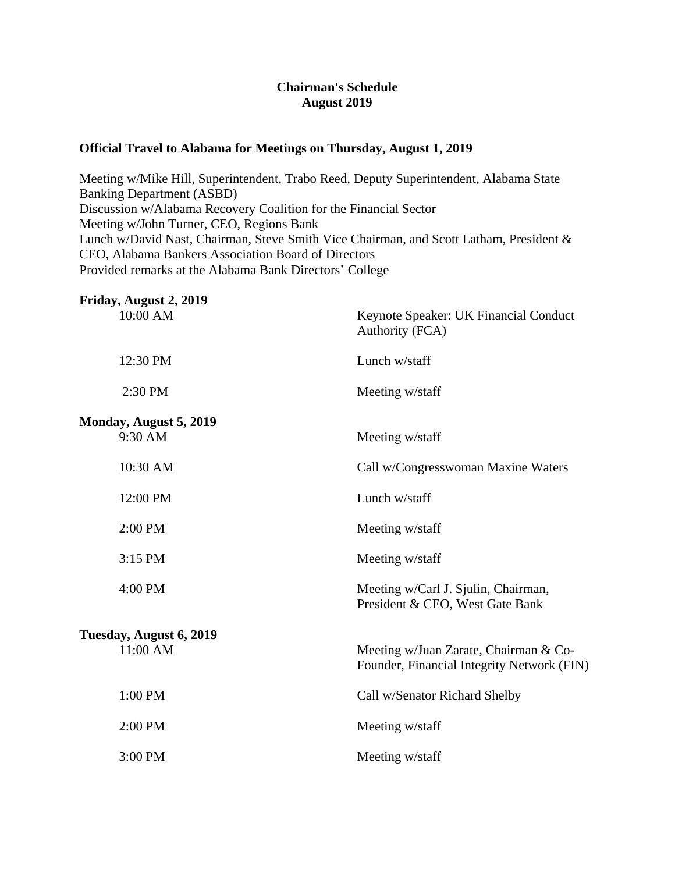## **Chairman's Schedule August 2019**

## **Official Travel to Alabama for Meetings on Thursday, August 1, 2019**

Meeting w/Mike Hill, Superintendent, Trabo Reed, Deputy Superintendent, Alabama State Banking Department (ASBD) Discussion w/Alabama Recovery Coalition for the Financial Sector Meeting w/John Turner, CEO, Regions Bank Lunch w/David Nast, Chairman, Steve Smith Vice Chairman, and Scott Latham, President & CEO, Alabama Bankers Association Board of Directors Provided remarks at the Alabama Bank Directors' College

| Friday, August 2, 2019<br>10:00 AM  | Keynote Speaker: UK Financial Conduct<br>Authority (FCA)                            |
|-------------------------------------|-------------------------------------------------------------------------------------|
| 12:30 PM                            | Lunch w/staff                                                                       |
| 2:30 PM                             | Meeting w/staff                                                                     |
| Monday, August 5, 2019<br>9:30 AM   | Meeting w/staff                                                                     |
| 10:30 AM                            | Call w/Congresswoman Maxine Waters                                                  |
| 12:00 PM                            | Lunch w/staff                                                                       |
| 2:00 PM                             | Meeting w/staff                                                                     |
| 3:15 PM                             | Meeting w/staff                                                                     |
| 4:00 PM                             | Meeting w/Carl J. Sjulin, Chairman,<br>President & CEO, West Gate Bank              |
| Tuesday, August 6, 2019<br>11:00 AM | Meeting w/Juan Zarate, Chairman & Co-<br>Founder, Financial Integrity Network (FIN) |
| 1:00 PM                             | Call w/Senator Richard Shelby                                                       |
| 2:00 PM                             | Meeting w/staff                                                                     |
| 3:00 PM                             | Meeting w/staff                                                                     |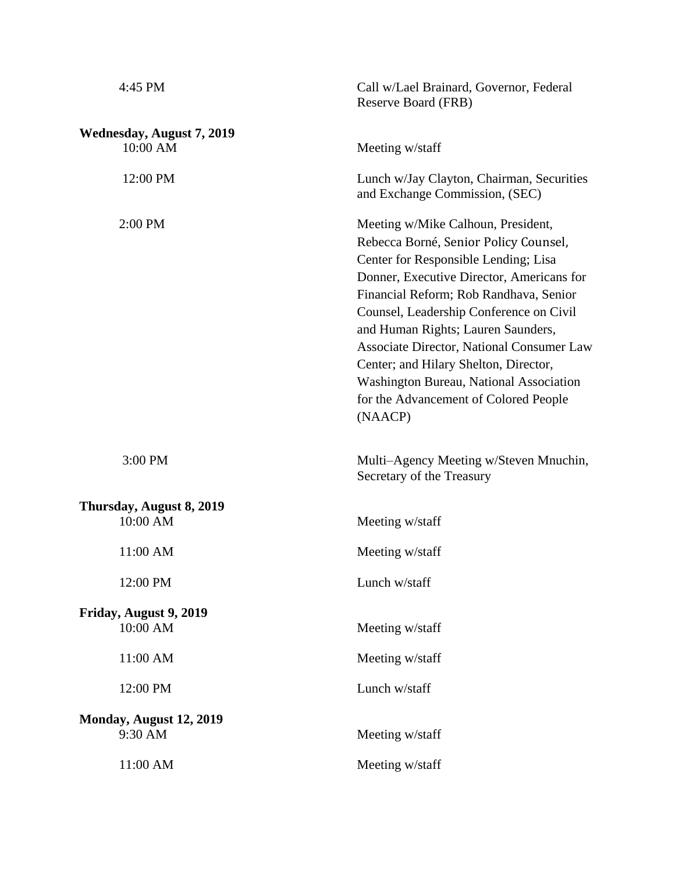| 4:45 PM                               | Call w/Lael Brainard, Governor, Federal<br>Reserve Board (FRB)                                                                                                                                                                                                                                                                                                                                                                                                                                 |
|---------------------------------------|------------------------------------------------------------------------------------------------------------------------------------------------------------------------------------------------------------------------------------------------------------------------------------------------------------------------------------------------------------------------------------------------------------------------------------------------------------------------------------------------|
| Wednesday, August 7, 2019<br>10:00 AM | Meeting w/staff                                                                                                                                                                                                                                                                                                                                                                                                                                                                                |
| 12:00 PM                              | Lunch w/Jay Clayton, Chairman, Securities<br>and Exchange Commission, (SEC)                                                                                                                                                                                                                                                                                                                                                                                                                    |
| 2:00 PM                               | Meeting w/Mike Calhoun, President,<br>Rebecca Borné, Senior Policy Counsel,<br>Center for Responsible Lending; Lisa<br>Donner, Executive Director, Americans for<br>Financial Reform; Rob Randhava, Senior<br>Counsel, Leadership Conference on Civil<br>and Human Rights; Lauren Saunders,<br><b>Associate Director, National Consumer Law</b><br>Center; and Hilary Shelton, Director,<br><b>Washington Bureau, National Association</b><br>for the Advancement of Colored People<br>(NAACP) |
| 3:00 PM                               | Multi-Agency Meeting w/Steven Mnuchin,<br>Secretary of the Treasury                                                                                                                                                                                                                                                                                                                                                                                                                            |
| Thursday, August 8, 2019<br>10:00 AM  | Meeting w/staff                                                                                                                                                                                                                                                                                                                                                                                                                                                                                |
| 11:00 AM                              | Meeting w/staff                                                                                                                                                                                                                                                                                                                                                                                                                                                                                |
| 12:00 PM                              | Lunch w/staff                                                                                                                                                                                                                                                                                                                                                                                                                                                                                  |
| Friday, August 9, 2019<br>10:00 AM    | Meeting w/staff                                                                                                                                                                                                                                                                                                                                                                                                                                                                                |
| 11:00 AM                              | Meeting w/staff                                                                                                                                                                                                                                                                                                                                                                                                                                                                                |
| 12:00 PM                              | Lunch w/staff                                                                                                                                                                                                                                                                                                                                                                                                                                                                                  |
| Monday, August 12, 2019<br>9:30 AM    | Meeting w/staff                                                                                                                                                                                                                                                                                                                                                                                                                                                                                |
| 11:00 AM                              | Meeting w/staff                                                                                                                                                                                                                                                                                                                                                                                                                                                                                |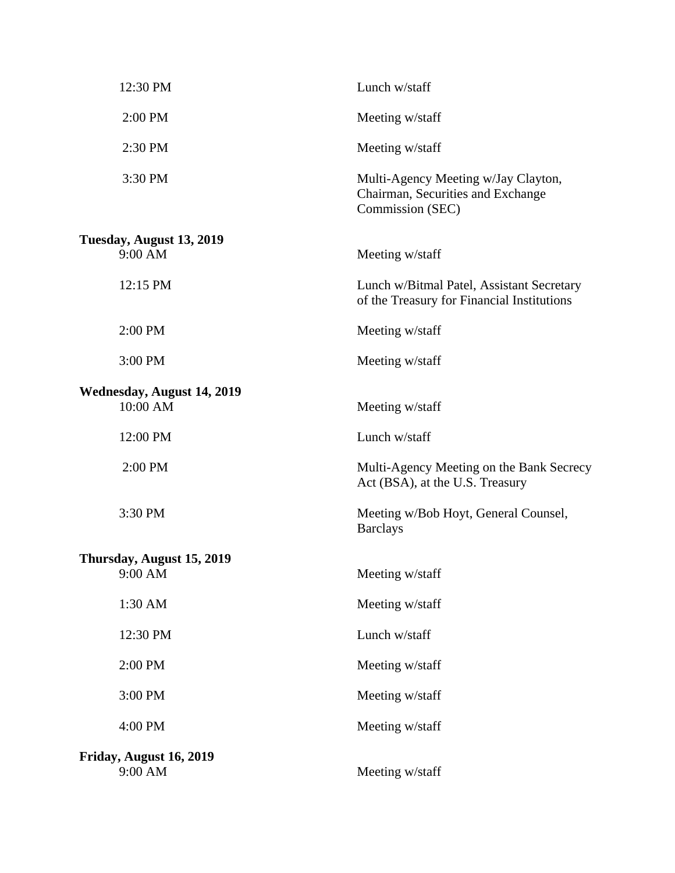| 12:30 PM                               | Lunch w/staff                                                                                |
|----------------------------------------|----------------------------------------------------------------------------------------------|
| 2:00 PM                                | Meeting w/staff                                                                              |
| 2:30 PM                                | Meeting w/staff                                                                              |
| 3:30 PM                                | Multi-Agency Meeting w/Jay Clayton,<br>Chairman, Securities and Exchange<br>Commission (SEC) |
| Tuesday, August 13, 2019<br>9:00 AM    | Meeting w/staff                                                                              |
| 12:15 PM                               | Lunch w/Bitmal Patel, Assistant Secretary<br>of the Treasury for Financial Institutions      |
| 2:00 PM                                | Meeting w/staff                                                                              |
| 3:00 PM                                | Meeting w/staff                                                                              |
| Wednesday, August 14, 2019<br>10:00 AM | Meeting w/staff                                                                              |
| 12:00 PM                               | Lunch w/staff                                                                                |
| 2:00 PM                                | Multi-Agency Meeting on the Bank Secrecy<br>Act (BSA), at the U.S. Treasury                  |
| 3:30 PM                                | Meeting w/Bob Hoyt, General Counsel,<br><b>Barclays</b>                                      |
| Thursday, August 15, 2019              |                                                                                              |
| 9:00 AM                                | Meeting w/staff                                                                              |
| 1:30 AM                                | Meeting w/staff                                                                              |
| 12:30 PM                               | Lunch w/staff                                                                                |
| 2:00 PM                                | Meeting w/staff                                                                              |
| 3:00 PM                                | Meeting w/staff                                                                              |
| 4:00 PM                                | Meeting w/staff                                                                              |
| Friday, August 16, 2019<br>9:00 AM     | Meeting w/staff                                                                              |